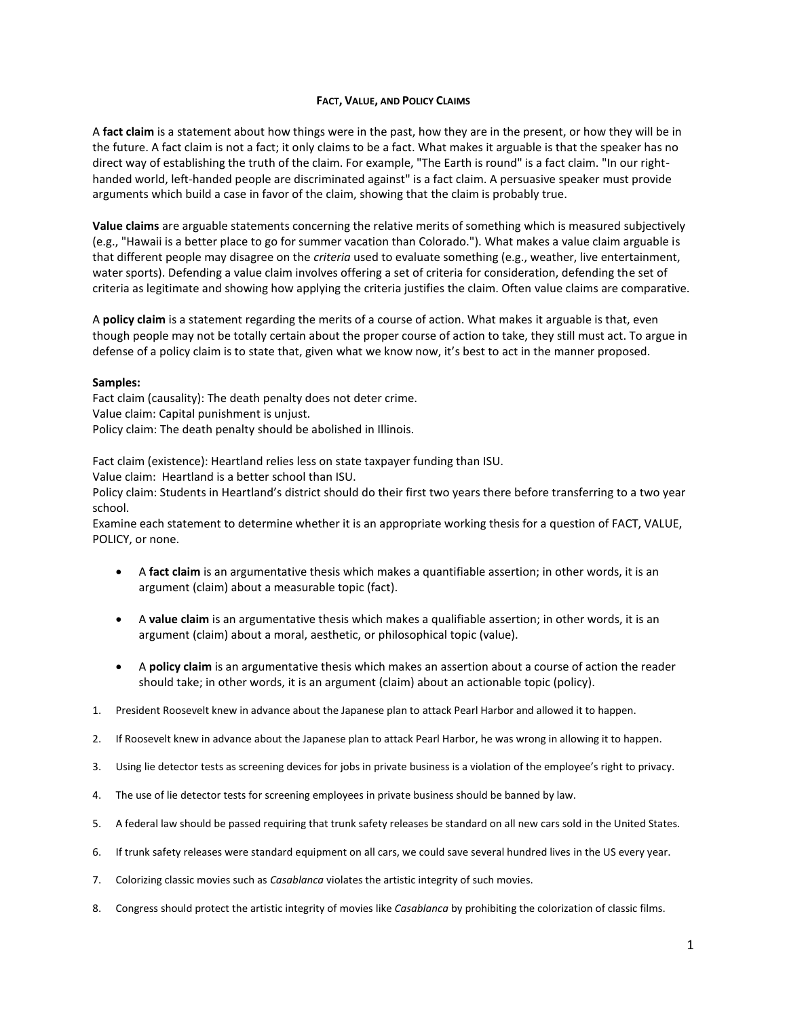### **FACT, VALUE, AND POLICY CLAIMS**

A **fact claim** is a statement about how things were in the past, how they are in the present, or how they will be in the future. A fact claim is not a fact; it only claims to be a fact. What makes it arguable is that the speaker has no direct way of establishing the truth of the claim. For example, "The Earth is round" is a fact claim. "In our righthanded world, left-handed people are discriminated against" is a fact claim. A persuasive speaker must provide arguments which build a case in favor of the claim, showing that the claim is probably true.

**Value claims** are arguable statements concerning the relative merits of something which is measured subjectively (e.g., "Hawaii is a better place to go for summer vacation than Colorado."). What makes a value claim arguable is that different people may disagree on the *criteria* used to evaluate something (e.g., weather, live entertainment, water sports). Defending a value claim involves offering a set of criteria for consideration, defending the set of criteria as legitimate and showing how applying the criteria justifies the claim. Often value claims are comparative.

A **policy claim** is a statement regarding the merits of a course of action. What makes it arguable is that, even though people may not be totally certain about the proper course of action to take, they still must act. To argue in defense of a policy claim is to state that, given what we know now, it's best to act in the manner proposed.

### **Samples:**

Fact claim (causality): The death penalty does not deter crime. Value claim: Capital punishment is unjust. Policy claim: The death penalty should be abolished in Illinois.

Fact claim (existence): Heartland relies less on state taxpayer funding than ISU.

Value claim: Heartland is a better school than ISU.

Policy claim: Students in Heartland's district should do their first two years there before transferring to a two year school.

Examine each statement to determine whether it is an appropriate working thesis for a question of FACT, VALUE, POLICY, or none.

- A **fact claim** is an argumentative thesis which makes a quantifiable assertion; in other words, it is an argument (claim) about a measurable topic (fact).
- A **value claim** is an argumentative thesis which makes a qualifiable assertion; in other words, it is an argument (claim) about a moral, aesthetic, or philosophical topic (value).
- A **policy claim** is an argumentative thesis which makes an assertion about a course of action the reader should take; in other words, it is an argument (claim) about an actionable topic (policy).
- 1. President Roosevelt knew in advance about the Japanese plan to attack Pearl Harbor and allowed it to happen.
- 2. If Roosevelt knew in advance about the Japanese plan to attack Pearl Harbor, he was wrong in allowing it to happen.
- 3. Using lie detector tests as screening devices for jobs in private business is a violation of the employee's right to privacy.
- 4. The use of lie detector tests for screening employees in private business should be banned by law.
- 5. A federal law should be passed requiring that trunk safety releases be standard on all new cars sold in the United States.
- 6. If trunk safety releases were standard equipment on all cars, we could save several hundred lives in the US every year.
- 7. Colorizing classic movies such as *Casablanca* violates the artistic integrity of such movies.
- 8. Congress should protect the artistic integrity of movies like *Casablanca* by prohibiting the colorization of classic films.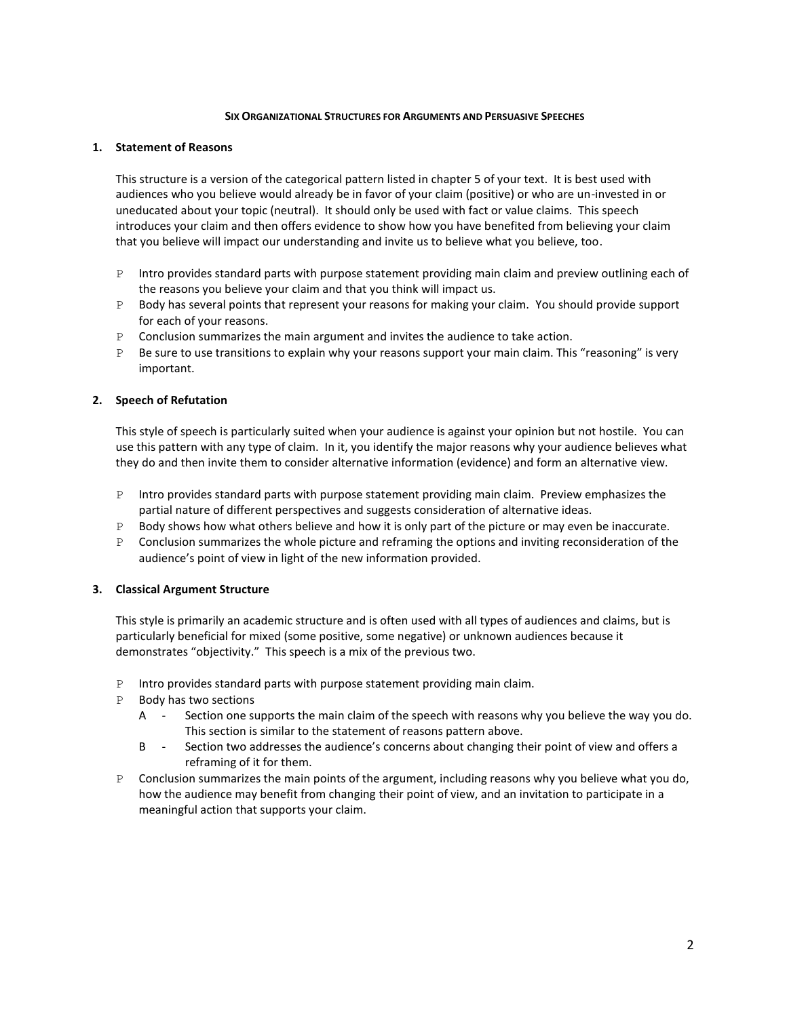#### **SIX ORGANIZATIONAL STRUCTURES FOR ARGUMENTS AND PERSUASIVE SPEECHES**

## **1. Statement of Reasons**

This structure is a version of the categorical pattern listed in chapter 5 of your text. It is best used with audiences who you believe would already be in favor of your claim (positive) or who are un-invested in or uneducated about your topic (neutral). It should only be used with fact or value claims. This speech introduces your claim and then offers evidence to show how you have benefited from believing your claim that you believe will impact our understanding and invite us to believe what you believe, too.

- P Intro provides standard parts with purpose statement providing main claim and preview outlining each of the reasons you believe your claim and that you think will impact us.
- P Body has several points that represent your reasons for making your claim. You should provide support for each of your reasons.
- P Conclusion summarizes the main argument and invites the audience to take action.
- P Be sure to use transitions to explain why your reasons support your main claim. This "reasoning" is very important.

## **2. Speech of Refutation**

This style of speech is particularly suited when your audience is against your opinion but not hostile. You can use this pattern with any type of claim. In it, you identify the major reasons why your audience believes what they do and then invite them to consider alternative information (evidence) and form an alternative view.

- P Intro provides standard parts with purpose statement providing main claim. Preview emphasizes the partial nature of different perspectives and suggests consideration of alternative ideas.
- P Body shows how what others believe and how it is only part of the picture or may even be inaccurate.
- P Conclusion summarizes the whole picture and reframing the options and inviting reconsideration of the audience's point of view in light of the new information provided.

### **3. Classical Argument Structure**

This style is primarily an academic structure and is often used with all types of audiences and claims, but is particularly beneficial for mixed (some positive, some negative) or unknown audiences because it demonstrates "objectivity." This speech is a mix of the previous two.

- P Intro provides standard parts with purpose statement providing main claim.
- P Body has two sections
	- A Section one supports the main claim of the speech with reasons why you believe the way you do. This section is similar to the statement of reasons pattern above.
	- B Section two addresses the audience's concerns about changing their point of view and offers a reframing of it for them.
- P Conclusion summarizes the main points of the argument, including reasons why you believe what you do, how the audience may benefit from changing their point of view, and an invitation to participate in a meaningful action that supports your claim.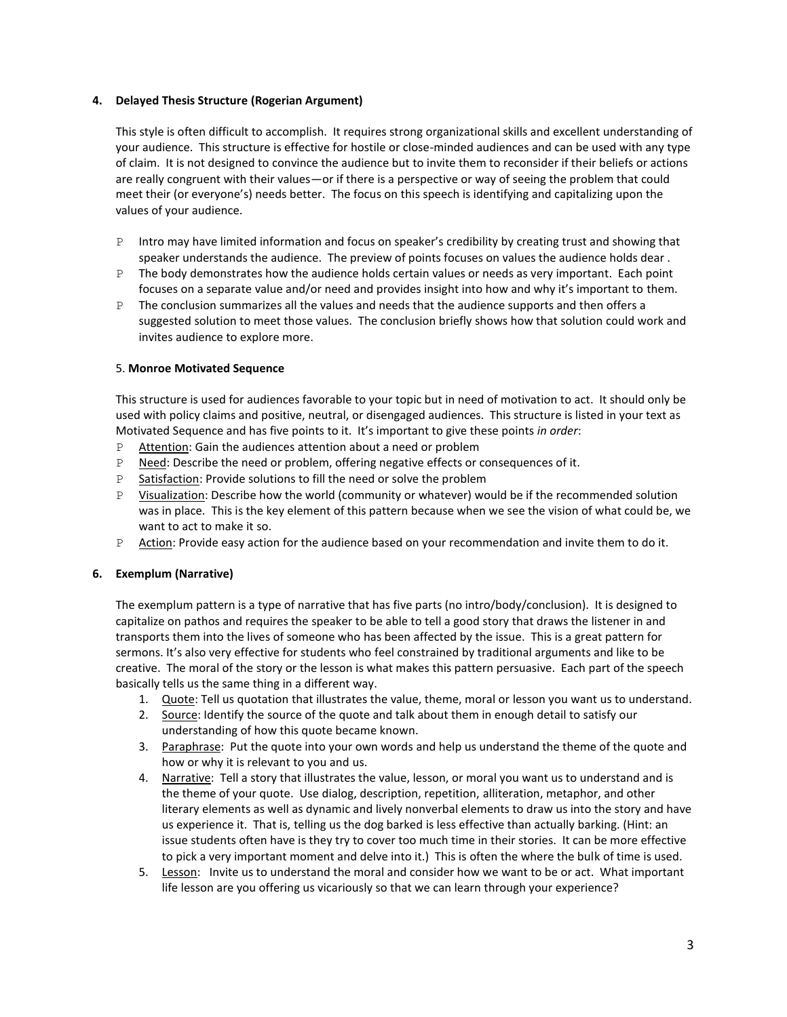# **4. Delayed Thesis Structure (Rogerian Argument)**

This style is often difficult to accomplish. It requires strong organizational skills and excellent understanding of your audience. This structure is effective for hostile or close-minded audiences and can be used with any type of claim. It is not designed to convince the audience but to invite them to reconsider if their beliefs or actions are really congruent with their values—or if there is a perspective or way of seeing the problem that could meet their (or everyone's) needs better. The focus on this speech is identifying and capitalizing upon the values of your audience.

- P Intro may have limited information and focus on speaker's credibility by creating trust and showing that speaker understands the audience. The preview of points focuses on values the audience holds dear .
- $P$  The body demonstrates how the audience holds certain values or needs as very important. Each point focuses on a separate value and/or need and provides insight into how and why it's important to them.
- P The conclusion summarizes all the values and needs that the audience supports and then offers a suggested solution to meet those values. The conclusion briefly shows how that solution could work and invites audience to explore more.

## 5. **Monroe Motivated Sequence**

This structure is used for audiences favorable to your topic but in need of motivation to act. It should only be used with policy claims and positive, neutral, or disengaged audiences. This structure is listed in your text as Motivated Sequence and has five points to it. It's important to give these points *in order*:

- P Attention: Gain the audiences attention about a need or problem
- P Need: Describe the need or problem, offering negative effects or consequences of it.
- P Satisfaction: Provide solutions to fill the need or solve the problem
- P Visualization: Describe how the world (community or whatever) would be if the recommended solution was in place. This is the key element of this pattern because when we see the vision of what could be, we want to act to make it so.
- P Action: Provide easy action for the audience based on your recommendation and invite them to do it.

### **6. Exemplum (Narrative)**

The exemplum pattern is a type of narrative that has five parts (no intro/body/conclusion). It is designed to capitalize on pathos and requires the speaker to be able to tell a good story that draws the listener in and transports them into the lives of someone who has been affected by the issue. This is a great pattern for sermons. It's also very effective for students who feel constrained by traditional arguments and like to be creative. The moral of the story or the lesson is what makes this pattern persuasive. Each part of the speech basically tells us the same thing in a different way.

- 1. Quote: Tell us quotation that illustrates the value, theme, moral or lesson you want us to understand.
- 2. Source: Identify the source of the quote and talk about them in enough detail to satisfy our understanding of how this quote became known.
- 3. Paraphrase: Put the quote into your own words and help us understand the theme of the quote and how or why it is relevant to you and us.
- 4. Narrative: Tell a story that illustrates the value, lesson, or moral you want us to understand and is the theme of your quote. Use dialog, description, repetition, alliteration, metaphor, and other literary elements as well as dynamic and lively nonverbal elements to draw us into the story and have us experience it. That is, telling us the dog barked is less effective than actually barking. (Hint: an issue students often have is they try to cover too much time in their stories. It can be more effective to pick a very important moment and delve into it.) This is often the where the bulk of time is used.
- 5. Lesson: Invite us to understand the moral and consider how we want to be or act. What important life lesson are you offering us vicariously so that we can learn through your experience?